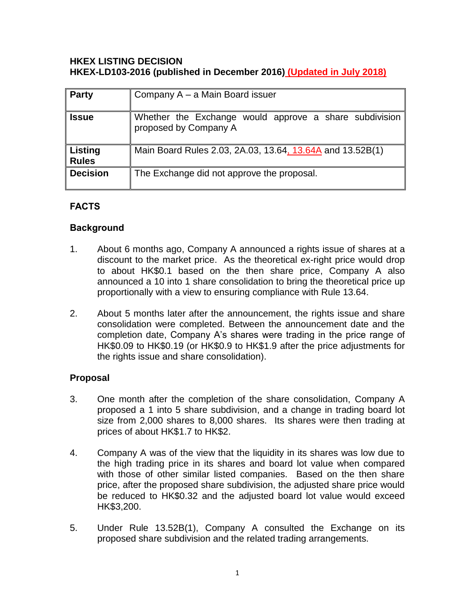#### **HKEX LISTING DECISION HKEX-LD103-2016 (published in December 2016) (Updated in July 2018)**

| <b>Party</b>                   | Company A – a Main Board issuer                                                 |
|--------------------------------|---------------------------------------------------------------------------------|
| <b>Issue</b>                   | Whether the Exchange would approve a share subdivision<br>proposed by Company A |
| <b>Listing</b><br><b>Rules</b> | Main Board Rules 2.03, 2A.03, 13.64, 13.64A and 13.52B(1)                       |
| <b>Decision</b>                | The Exchange did not approve the proposal.                                      |

### **FACTS**

### **Background**

- 1. About 6 months ago, Company A announced a rights issue of shares at a discount to the market price. As the theoretical ex-right price would drop to about HK\$0.1 based on the then share price, Company A also announced a 10 into 1 share consolidation to bring the theoretical price up proportionally with a view to ensuring compliance with Rule 13.64.
- 2. About 5 months later after the announcement, the rights issue and share consolidation were completed. Between the announcement date and the completion date, Company A's shares were trading in the price range of HK\$0.09 to HK\$0.19 (or HK\$0.9 to HK\$1.9 after the price adjustments for the rights issue and share consolidation).

# **Proposal**

- 3. One month after the completion of the share consolidation, Company A proposed a 1 into 5 share subdivision, and a change in trading board lot size from 2,000 shares to 8,000 shares. Its shares were then trading at prices of about HK\$1.7 to HK\$2.
- 4. Company A was of the view that the liquidity in its shares was low due to the high trading price in its shares and board lot value when compared with those of other similar listed companies. Based on the then share price, after the proposed share subdivision, the adjusted share price would be reduced to HK\$0.32 and the adjusted board lot value would exceed HK\$3,200.
- 5. Under Rule 13.52B(1), Company A consulted the Exchange on its proposed share subdivision and the related trading arrangements.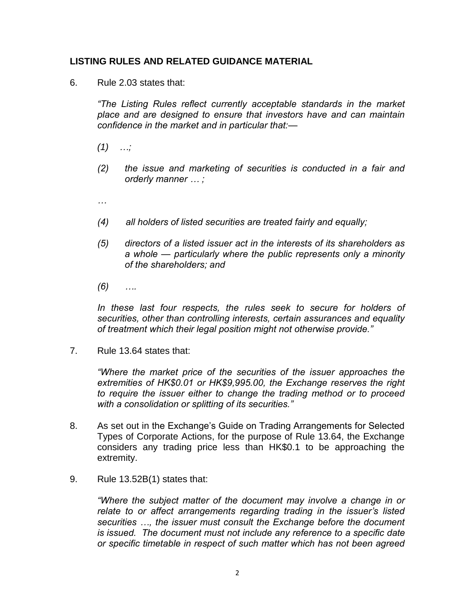#### **LISTING RULES AND RELATED GUIDANCE MATERIAL**

6. Rule 2.03 states that:

*"The Listing Rules reflect currently acceptable standards in the market place and are designed to ensure that investors have and can maintain confidence in the market and in particular that:—*

- *(1) …;*
- *(2) the issue and marketing of securities is conducted in a fair and orderly manner … ;*

*…*

- *(4) all holders of listed securities are treated fairly and equally;*
- *(5) directors of a listed issuer act in the interests of its shareholders as a whole — particularly where the public represents only a minority of the shareholders; and*
- *(6) ….*

*In these last four respects, the rules seek to secure for holders of securities, other than controlling interests, certain assurances and equality of treatment which their legal position might not otherwise provide."*

7. Rule 13.64 states that:

*"Where the market price of the securities of the issuer approaches the extremities of HK\$0.01 or HK\$9,995.00, the Exchange reserves the right to require the issuer either to change the trading method or to proceed with a consolidation or splitting of its securities."*

- 8. As set out in the Exchange's Guide on Trading Arrangements for Selected Types of Corporate Actions, for the purpose of Rule 13.64, the Exchange considers any trading price less than HK\$0.1 to be approaching the extremity.
- 9. Rule 13.52B(1) states that:

*"Where the subject matter of the document may involve a change in or relate to or affect arrangements regarding trading in the issuer's listed securities …, the issuer must consult the Exchange before the document is issued. The document must not include any reference to a specific date or specific timetable in respect of such matter which has not been agreed*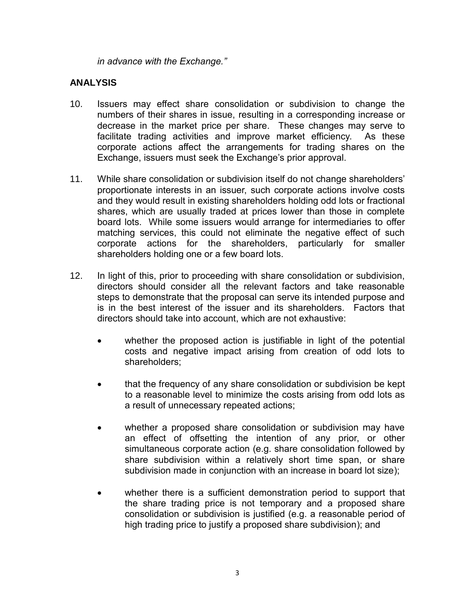*in advance with the Exchange."*

#### **ANALYSIS**

- 10. Issuers may effect share consolidation or subdivision to change the numbers of their shares in issue, resulting in a corresponding increase or decrease in the market price per share. These changes may serve to facilitate trading activities and improve market efficiency. As these corporate actions affect the arrangements for trading shares on the Exchange, issuers must seek the Exchange's prior approval.
- 11. While share consolidation or subdivision itself do not change shareholders' proportionate interests in an issuer, such corporate actions involve costs and they would result in existing shareholders holding odd lots or fractional shares, which are usually traded at prices lower than those in complete board lots. While some issuers would arrange for intermediaries to offer matching services, this could not eliminate the negative effect of such corporate actions for the shareholders, particularly for smaller shareholders holding one or a few board lots.
- 12. In light of this, prior to proceeding with share consolidation or subdivision, directors should consider all the relevant factors and take reasonable steps to demonstrate that the proposal can serve its intended purpose and is in the best interest of the issuer and its shareholders. Factors that directors should take into account, which are not exhaustive:
	- whether the proposed action is justifiable in light of the potential costs and negative impact arising from creation of odd lots to shareholders;
	- that the frequency of any share consolidation or subdivision be kept to a reasonable level to minimize the costs arising from odd lots as a result of unnecessary repeated actions;
	- whether a proposed share consolidation or subdivision may have an effect of offsetting the intention of any prior, or other simultaneous corporate action (e.g. share consolidation followed by share subdivision within a relatively short time span, or share subdivision made in conjunction with an increase in board lot size);
	- whether there is a sufficient demonstration period to support that the share trading price is not temporary and a proposed share consolidation or subdivision is justified (e.g. a reasonable period of high trading price to justify a proposed share subdivision); and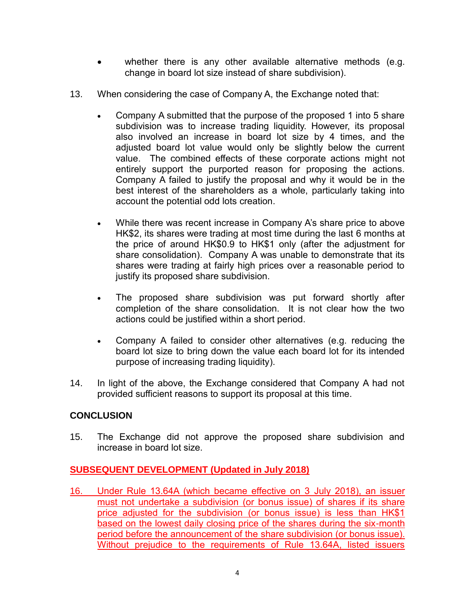- whether there is any other available alternative methods (e.g. change in board lot size instead of share subdivision).
- 13. When considering the case of Company A, the Exchange noted that:
	- Company A submitted that the purpose of the proposed 1 into 5 share subdivision was to increase trading liquidity. However, its proposal also involved an increase in board lot size by 4 times, and the adjusted board lot value would only be slightly below the current value. The combined effects of these corporate actions might not entirely support the purported reason for proposing the actions. Company A failed to justify the proposal and why it would be in the best interest of the shareholders as a whole, particularly taking into account the potential odd lots creation.
	- While there was recent increase in Company A's share price to above HK\$2, its shares were trading at most time during the last 6 months at the price of around HK\$0.9 to HK\$1 only (after the adjustment for share consolidation). Company A was unable to demonstrate that its shares were trading at fairly high prices over a reasonable period to justify its proposed share subdivision.
	- The proposed share subdivision was put forward shortly after completion of the share consolidation. It is not clear how the two actions could be justified within a short period.
	- Company A failed to consider other alternatives (e.g. reducing the board lot size to bring down the value each board lot for its intended purpose of increasing trading liquidity).
- 14. In light of the above, the Exchange considered that Company A had not provided sufficient reasons to support its proposal at this time.

### **CONCLUSION**

15. The Exchange did not approve the proposed share subdivision and increase in board lot size.

# **SUBSEQUENT DEVELOPMENT (Updated in July 2018)**

16. Under Rule 13.64A (which became effective on 3 July 2018), an issuer must not undertake a subdivision (or bonus issue) of shares if its share price adjusted for the subdivision (or bonus issue) is less than HK\$1 based on the lowest daily closing price of the shares during the six-month period before the announcement of the share subdivision (or bonus issue). Without prejudice to the requirements of Rule 13.64A, listed issuers